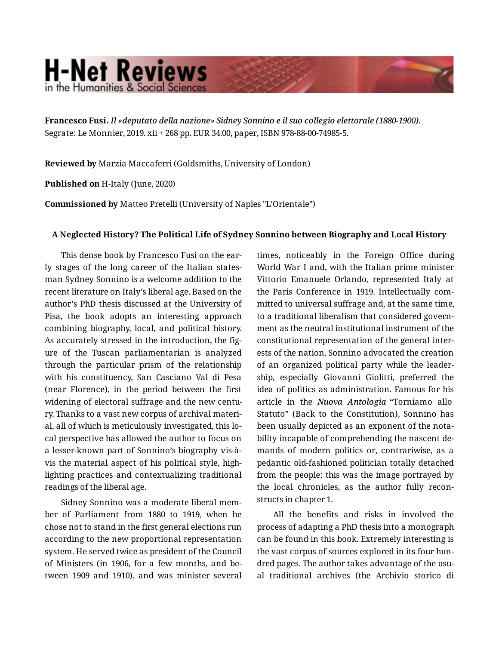## **H-Net Reviews** in the Humanities & Social Scienc

**Francesco Fusi.** *Il «deputato della nazione» Sidney Sonnino e il suo collegio elettorale (1880-1900).*  Segrate: Le Monnier, 2019. xii + 268 pp. EUR 34.00, paper, ISBN 978-88-00-74985-5.

**Reviewed by** Marzia Maccaferri (Goldsmiths, University of London)

**Published on** H-Italy (June, 2020)

**Commissioned by** Matteo Pretelli (University of Naples "L'Orientale")

## **A Neglected History? The Political Life of Sydney Sonnino between Biography and Local History**

This dense book by Francesco Fusi on the ear‐ ly stages of the long career of the Italian states‐ man Sydney Sonnino is a welcome addition to the recent literature on Italy's liberal age. Based on the author's PhD thesis discussed at the University of Pisa, the book adopts an interesting approach combining biography, local, and political history. As accurately stressed in the introduction, the fig‐ ure of the Tuscan parliamentarian is analyzed through the particular prism of the relationship with his constituency, San Casciano Val di Pesa (near Florence), in the period between the first widening of electoral suffrage and the new century. Thanks to a vast new corpus of archival materi‐ al, all of which is meticulously investigated, this lo‐ cal perspective has allowed the author to focus on a lesser-known part of Sonnino's biography vis-àvis the material aspect of his political style, high‐ lighting practices and contextualizing traditional readings of the liberal age.

Sidney Sonnino was a moderate liberal mem‐ ber of Parliament from 1880 to 1919, when he chose not to stand in the first general elections run according to the new proportional representation system. He served twice as president of the Council of Ministers (in 1906, for a few months, and be‐ tween 1909 and 1910), and was minister several times, noticeably in the Foreign Office during World War I and, with the Italian prime minister Vittorio Emanuele Orlando, represented Italy at the Paris Conference in 1919. Intellectually com‐ mitted to universal suffrage and, at the same time, to a traditional liberalism that considered govern‐ ment as the neutral institutional instrument of the constitutional representation of the general inter‐ ests of the nation, Sonnino advocated the creation of an organized political party while the leader‐ ship, especially Giovanni Giolitti, preferred the idea of politics as administration. Famous for his article in the *Nuova Antologia* "Torniamo allo Statuto" (Back to the Constitution), Sonnino has been usually depicted as an exponent of the nota‐ bility incapable of comprehending the nascent de‐ mands of modern politics or, contrariwise, as a pedantic old-fashioned politician totally detached from the people: this was the image portrayed by the local chronicles, as the author fully recon‐ structs in chapter 1.

All the benefits and risks in involved the process of adapting a PhD thesis into a monograph can be found in this book. Extremely interesting is the vast corpus of sources explored in its four hun‐ dred pages. The author takes advantage of the usual traditional archives (the Archivio storico di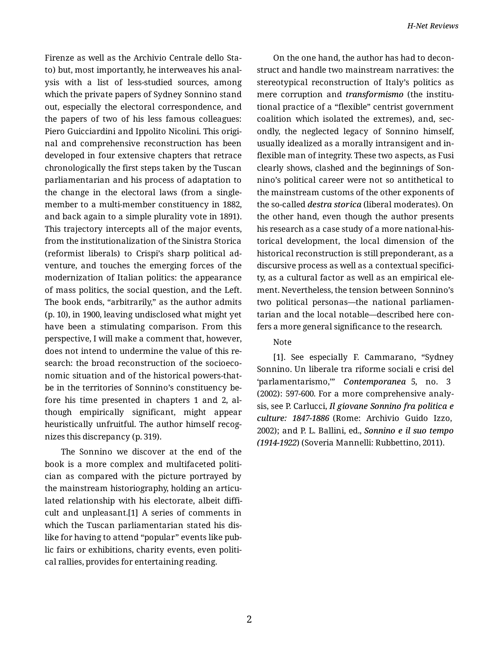Firenze as well as the Archivio Centrale dello Sta‐ to) but, most importantly, he interweaves his anal‐ ysis with a list of less-studied sources, among which the private papers of Sydney Sonnino stand out, especially the electoral correspondence, and the papers of two of his less famous colleagues: Piero Guicciardini and Ippolito Nicolini. This origi‐ nal and comprehensive reconstruction has been developed in four extensive chapters that retrace chronologically the first steps taken by the Tuscan parliamentarian and his process of adaptation to the change in the electoral laws (from a singlemember to a multi-member constituency in 1882, and back again to a simple plurality vote in 1891). This trajectory intercepts all of the major events, from the institutionalization of the Sinistra Storica (reformist liberals) to Crispi's sharp political ad‐ venture, and touches the emerging forces of the modernization of Italian politics: the appearance of mass politics, the social question, and the Left. The book ends, "arbitrarily," as the author admits (p. 10), in 1900, leaving undisclosed what might yet have been a stimulating comparison. From this perspective, I will make a comment that, however, does not intend to undermine the value of this re‐ search: the broad reconstruction of the socioeco‐ nomic situation and of the historical powers-thatbe in the territories of Sonnino's constituency be‐ fore his time presented in chapters 1 and 2, al‐ though empirically significant, might appear heuristically unfruitful. The author himself recognizes this discrepancy (p. 319).

The Sonnino we discover at the end of the book is a more complex and multifaceted politi‐ cian as compared with the picture portrayed by the mainstream historiography, holding an articu‐ lated relationship with his electorate, albeit diffi‐ cult and unpleasant.[1] A series of comments in which the Tuscan parliamentarian stated his dis‐ like for having to attend "popular" events like pub‐ lic fairs or exhibitions, charity events, even politi‐ cal rallies, provides for entertaining reading.

On the one hand, the author has had to decon‐ struct and handle two mainstream narratives: the stereotypical reconstruction of Italy's politics as mere corruption and *transformismo* (the institu‐ tional practice of a "flexible" centrist government coalition which isolated the extremes), and, sec‐ ondly, the neglected legacy of Sonnino himself, usually idealized as a morally intransigent and in‐ flexible man of integrity. These two aspects, as Fusi clearly shows, clashed and the beginnings of Son‐ nino's political career were not so antithetical to the mainstream customs of the other exponents of the so-called *destra storica* (liberal moderates). On the other hand, even though the author presents his research as a case study of a more national-his‐ torical development, the local dimension of the historical reconstruction is still preponderant, as a discursive process as well as a contextual specifici‐ ty, as a cultural factor as well as an empirical ele‐ ment. Nevertheless, the tension between Sonnino's two political personas—the national parliamen‐ tarian and the local notable—described here con‐ fers a more general significance to the research.

## Note

[1]. See especially F. Cammarano, "Sydney Sonnino. Un liberale tra riforme sociali e crisi del 'parlamentarismo,'" *Contemporanea* 5, no. 3 (2002): 597-600. For a more comprehensive analy‐ sis, see P. Carlucci, *Il giovane Sonnino fra politica e culture: 1847-1886* (Rome: Archivio Guido Izzo, 2002); and P. L. Ballini, ed., *Sonnino e il suo tempo (1914-1922*) (Soveria Mannelli: Rubbettino, 2011).